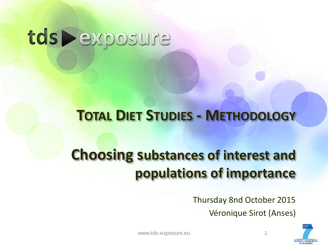## tds > exposure

### **TOTAL DIET STUDIES - METHODOLOGY**

## **Choosing substances of interest and populations of importance**

Thursday 8nd October 2015 Véronique Sirot (Anses)



www.tds-exposure.eu 1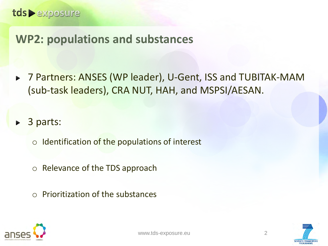### **WP2: populations and substances**

▶ 7 Partners: ANSES (WP leader), U-Gent, ISS and TUBITAK-MAM (sub-task leaders), CRA NUT, HAH, and MSPSI/AESAN.

3 parts:  $\blacktriangleright$ 

 $\circ$  Identification of the populations of interest

- o Relevance of the TDS approach
- o Prioritization of the substances



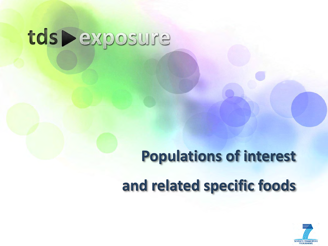# tds Dexposure

# **Populations of interest and related specific foods**

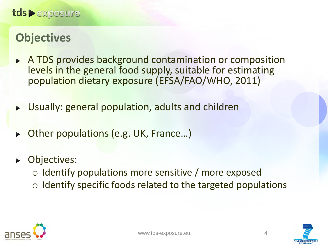### **Objectives**

- A TDS provides background contamination or composition  $\blacktriangleright$ levels in the general food supply, suitable for estimating population dietary exposure (EFSA/FAO/WHO, 2011)
- Usually: general population, adults and children  $\blacktriangleright$
- Other populations (e.g. UK, France…)  $\blacksquare$
- Objectives:  $\blacktriangleright$ 
	- o Identify populations more sensitive / more exposed
	- $\circ$  Identify specific foods related to the targeted populations



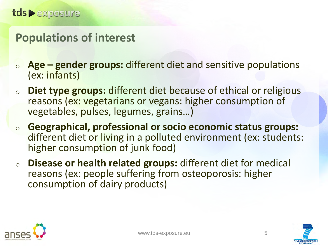### **Populations of interest**

- <sup>o</sup> **Age – gender groups:** different diet and sensitive populations (ex: infants)
- <sup>o</sup> **Diet type groups:** different diet because of ethical or religious reasons (ex: vegetarians or vegans: higher consumption of vegetables, pulses, legumes, grains…)
- <sup>o</sup> **Geographical, professional or socio economic status groups:**  different diet or living in a polluted environment (ex: students: higher consumption of junk food)
- <sup>o</sup> **Disease or health related groups:** different diet for medical reasons (ex: people suffering from osteoporosis: higher consumption of dairy products)





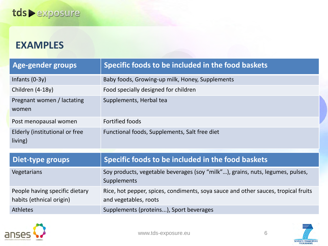#### **EXAMPLES**

| Age-gender groups                                          | Specific foods to be included in the food baskets                                                           |
|------------------------------------------------------------|-------------------------------------------------------------------------------------------------------------|
| Infants $(0-3y)$                                           | Baby foods, Growing-up milk, Honey, Supplements                                                             |
| Children (4-18y)                                           | Food specially designed for children                                                                        |
| Pregnant women / lactating<br>women                        | Supplements, Herbal tea                                                                                     |
| Post menopausal women                                      | <b>Fortified foods</b>                                                                                      |
| Elderly (institutional or free<br>living)                  | Functional foods, Supplements, Salt free diet                                                               |
|                                                            |                                                                                                             |
| Diet-type groups                                           | Specific foods to be included in the food baskets                                                           |
| Vegetarians                                                | Soy products, vegetable beverages (soy "milk"), grains, nuts, legumes, pulses,<br>Supplements               |
| People having specific dietary<br>habits (ethnical origin) | Rice, hot pepper, spices, condiments, soya sauce and other sauces, tropical fruits<br>and vegetables, roots |

Athletes Supplements (proteins...), Sport beverages



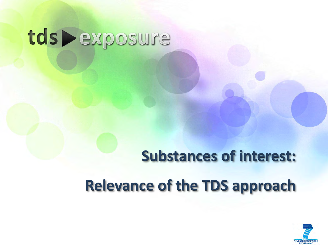# tds Dexposure

# **Substances of interest: Relevance of the TDS approach**

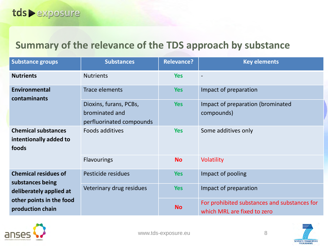#### **Summary of the relevance of the TDS approach by substance**

| <b>Substance groups</b>                                       | <b>Substances</b>                                                    | <b>Relevance?</b> | <b>Key elements</b>                                                         |  |  |  |  |
|---------------------------------------------------------------|----------------------------------------------------------------------|-------------------|-----------------------------------------------------------------------------|--|--|--|--|
| <b>Nutrients</b>                                              | <b>Nutrients</b>                                                     | <b>Yes</b>        |                                                                             |  |  |  |  |
| <b>Environmental</b><br>contaminants                          | <b>Trace elements</b>                                                | <b>Yes</b>        | Impact of preparation                                                       |  |  |  |  |
|                                                               | Dioxins, furans, PCBs,<br>brominated and<br>perfluorinated compounds | <b>Yes</b>        | Impact of preparation (brominated<br>compounds)                             |  |  |  |  |
| <b>Chemical substances</b><br>intentionally added to<br>foods | Foods additives                                                      | <b>Yes</b>        | Some additives only                                                         |  |  |  |  |
|                                                               | <b>Flavourings</b>                                                   | <b>No</b>         | <b>Volatility</b>                                                           |  |  |  |  |
| <b>Chemical residues of</b>                                   | Pesticide residues                                                   | <b>Yes</b>        | Impact of pooling                                                           |  |  |  |  |
| substances being<br>deliberately applied at                   | Veterinary drug residues                                             | <b>Yes</b>        | Impact of preparation                                                       |  |  |  |  |
| other points in the food<br>production chain                  |                                                                      | <b>No</b>         | For prohibited substances and substances for<br>which MRL are fixed to zero |  |  |  |  |



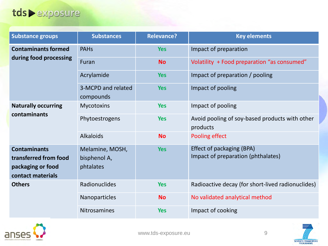#### tds > exposure

| <b>Substance groups</b>                                                                | <b>Substances</b>                            | <b>Relevance?</b> | <b>Key elements</b>                                             |  |  |  |  |
|----------------------------------------------------------------------------------------|----------------------------------------------|-------------------|-----------------------------------------------------------------|--|--|--|--|
| <b>Contaminants formed</b>                                                             | <b>PAHs</b>                                  | <b>Yes</b>        | Impact of preparation                                           |  |  |  |  |
| during food processing                                                                 | Furan                                        | <b>No</b>         | Volatility + Food preparation "as consumed"                     |  |  |  |  |
|                                                                                        | Acrylamide                                   | <b>Yes</b>        | Impact of preparation / pooling                                 |  |  |  |  |
|                                                                                        | 3-MCPD and related<br>compounds              | <b>Yes</b>        | Impact of pooling                                               |  |  |  |  |
| <b>Naturally occurring</b><br>contaminants                                             | <b>Mycotoxins</b>                            | <b>Yes</b>        | Impact of pooling                                               |  |  |  |  |
|                                                                                        | Phytoestrogens                               | <b>Yes</b>        | Avoid pooling of soy-based products with other<br>products      |  |  |  |  |
|                                                                                        | <b>Alkaloids</b>                             | <b>No</b>         | Pooling effect                                                  |  |  |  |  |
| <b>Contaminants</b><br>transferred from food<br>packaging or food<br>contact materials | Melamine, MOSH,<br>bisphenol A,<br>phtalates | <b>Yes</b>        | Effect of packaging (BPA)<br>Impact of preparation (phthalates) |  |  |  |  |
| <b>Others</b>                                                                          | Radionuclides                                | <b>Yes</b>        | Radioactive decay (for short-lived radionuclides)               |  |  |  |  |
|                                                                                        | Nanoparticles                                | <b>No</b>         | No validated analytical method                                  |  |  |  |  |
|                                                                                        | <b>Nitrosamines</b>                          | <b>Yes</b>        | Impact of cooking                                               |  |  |  |  |



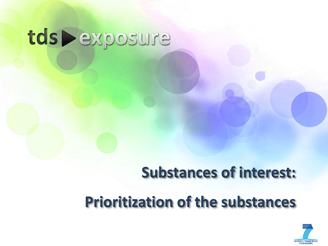# tds Dexposure

## **Substances of interest:**

## **Prioritization of the substances**

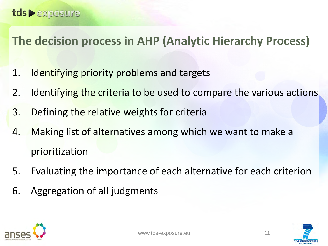### **The decision process in AHP (Analytic Hierarchy Process)**

- 1. Identifying priority problems and targets
- 2. Identifying the criteria to be used to compare the various actions
- 3. Defining the relative weights for criteria
- 4. Making list of alternatives among which we want to make a prioritization
- 5. Evaluating the importance of each alternative for each criterion
- 6. Aggregation of all judgments





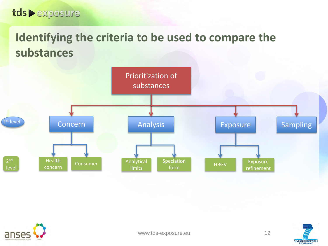### **Identifying the criteria to be used to compare the substances**







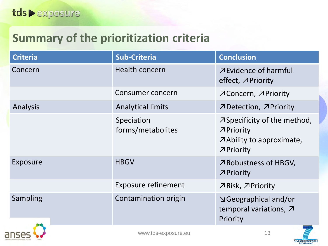### **Summary of the prioritization criteria**

| <b>Criteria</b> | <b>Sub-Criteria</b>             | <b>Conclusion</b>                                                                                        |
|-----------------|---------------------------------|----------------------------------------------------------------------------------------------------------|
| Concern         | <b>Health concern</b>           | <b>ZEvidence of harmful</b><br>effect, APriority                                                         |
|                 | Consumer concern                | NConcern, NPriority                                                                                      |
| Analysis        | <b>Analytical limits</b>        | フDetection, フPriority                                                                                    |
|                 | Speciation<br>forms/metabolites | $\overline{\mathcal{A}}$ Specificity of the method,<br>フPriority<br>Ability to approximate,<br>フPriority |
| Exposure        | <b>HBGV</b>                     | <b>∧Robustness of HBGV,</b><br>フPriority                                                                 |
|                 | <b>Exposure refinement</b>      | フRisk, フPriority                                                                                         |
| Sampling        | Contamination origin            | <b>N</b> Geographical and/or<br>temporal variations, 7                                                   |
|                 |                                 | Priority                                                                                                 |



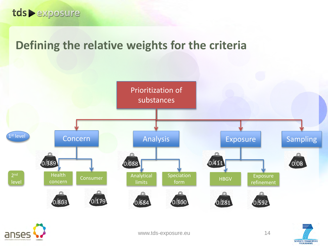### **Defining the relative weights for the criteria**





www.tds-exposure.eu 14

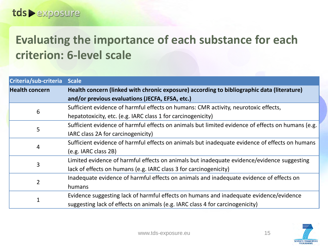### **Evaluating the importance of each substance for each criterion: 6-level scale**

| Criteria/sub-criteria | <b>Scale</b>                                                                                      |  |  |  |
|-----------------------|---------------------------------------------------------------------------------------------------|--|--|--|
| <b>Health concern</b> | Health concern (linked with chronic exposure) according to bibliographic data (literature)        |  |  |  |
|                       | and/or previous evaluations (JECFA, EFSA, etc.)                                                   |  |  |  |
| 6                     | Sufficient evidence of harmful effects on humans: CMR activity, neurotoxic effects,               |  |  |  |
|                       | hepatotoxicity, etc. (e.g. IARC class 1 for carcinogenicity)                                      |  |  |  |
| 5                     | Sufficient evidence of harmful effects on animals but limited evidence of effects on humans (e.g. |  |  |  |
|                       | IARC class 2A for carcinogenicity)                                                                |  |  |  |
|                       | Sufficient evidence of harmful effects on animals but inadequate evidence of effects on humans    |  |  |  |
| 4                     | (e.g. IARC class 2B)                                                                              |  |  |  |
| 3                     | Limited evidence of harmful effects on animals but inadequate evidence/evidence suggesting        |  |  |  |
|                       | lack of effects on humans (e.g. IARC class 3 for carcinogenicity)                                 |  |  |  |
| $\overline{2}$        | Inadequate evidence of harmful effects on animals and inadequate evidence of effects on           |  |  |  |
|                       | humans                                                                                            |  |  |  |
|                       | Evidence suggesting lack of harmful effects on humans and inadequate evidence/evidence            |  |  |  |
|                       | suggesting lack of effects on animals (e.g. IARC class 4 for carcinogenicity)                     |  |  |  |

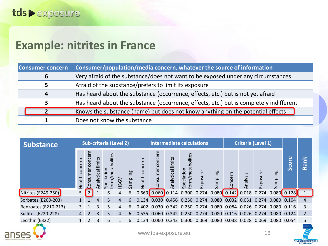#### **Example: nitrites in France**

| <b>Consumer concern</b> | Consumer/population/media concern, whatever the source of information                   |
|-------------------------|-----------------------------------------------------------------------------------------|
| 6                       | Very afraid of the substance/does not want to be exposed under any circumstances        |
|                         | Afraid of the substance/prefers to limit its exposure                                   |
| Δ                       | Has heard about the substance (occurrence, effects, etc.) but is not yet afraid         |
| 3                       | Has heard about the substance (occurrence, effects, etc.) but is completely indifferent |
|                         | Knows the substance (name) but does not know anything on the potential effects          |
|                         | Does not know the substance                                                             |

| <b>Substance</b>           | <b>Sub-criteria (Level 2)</b> |                   |                   |                                   |             | <b>Intermediate calculations</b> |                   |                            |                   |                                                                                      | <b>Criteria (Level 1)</b> |          |        |          |          |                       |          |                |
|----------------------------|-------------------------------|-------------------|-------------------|-----------------------------------|-------------|----------------------------------|-------------------|----------------------------|-------------------|--------------------------------------------------------------------------------------|---------------------------|----------|--------|----------|----------|-----------------------|----------|----------------|
|                            | concern<br>Health             | Ξ<br>conc<br>umer | Analytical limits | etabolites<br>Speciation<br>form, | <b>HBGV</b> | Sampling                         | concern<br>Health | මි<br>con<br><b>nsumer</b> | Analytical limits | form/metabolites<br>Speciation                                                       | Exposure                  | Sampling | oncern | Analysis | =xposure | mpling<br>ω<br>$\sim$ | Φ<br>Sco | ≚<br>Rain      |
| Nitrites (E249-250)        | 5                             |                   |                   | 6                                 | 4           | 6                                |                   | $0.669$ 0.060 0.114        |                   | 0.300 0.274 0.080 0.142 0.018 0.274 0.080 0.128                                      |                           |          |        |          |          |                       |          |                |
| Sorbates (E200-203)        |                               |                   | 4                 | 5                                 | 4           | 6                                | 0.134             | 0.030                      |                   | 0.456 0.250 0.274 0.080 0.032 0.031 0.274 0.080 0.104                                |                           |          |        |          |          |                       |          | 4              |
| Benzoates (E210-213)       | 3                             |                   | 3                 | 5                                 | 4           | 6                                | 0.402             |                            |                   | 0.030 0.342 0.250 0.274 0.080 0.084 0.026 0.274 0.080 0.116                          |                           |          |        |          |          |                       |          |                |
| <b>Sulfites (E220-228)</b> | $\overline{4}$                | $\overline{2}$    | 3                 | 5                                 | 4           | 6                                |                   |                            |                   | 0.535 0.060 0.342 0.250 0.274 0.080 0.116 0.026 0.274 0.080 0.124                    |                           |          |        |          |          |                       |          | $\overline{2}$ |
| Lecithin (E322)            |                               | $\mathcal{P}$     | 3                 | 6                                 |             | 6                                | 0.                |                            |                   | .134   0.060   0.342   0.300   0.069   0.080   0.038   0.028   0.069   0.080   0.054 |                           |          |        |          |          |                       |          |                |





**SEVENTH FRAMEWORK**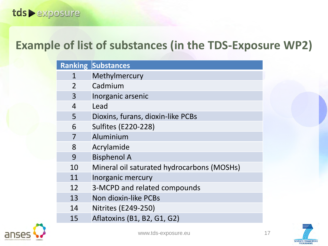### **Example of list of substances (in the TDS-Exposure WP2)**

|                | <b>Ranking Substances</b>                  |
|----------------|--------------------------------------------|
| 1              | Methylmercury                              |
| $\overline{2}$ | Cadmium                                    |
| 3              | Inorganic arsenic                          |
| $\overline{4}$ | Lead                                       |
| 5              | Dioxins, furans, dioxin-like PCBs          |
| 6              | <b>Sulfites (E220-228)</b>                 |
| 7              | Aluminium                                  |
| 8              | Acrylamide                                 |
| 9              | <b>Bisphenol A</b>                         |
| 10             | Mineral oil saturated hydrocarbons (MOSHs) |
| 11             | Inorganic mercury                          |
| 12             | 3-MCPD and related compounds               |
| 13             | Non dioxin-like PCBs                       |
| 14             | <b>Nitrites (E249-250)</b>                 |
| 15             | Aflatoxins (B1, B2, G1, G2)                |





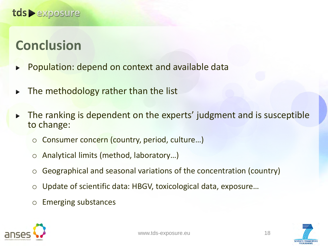### **Conclusion**

- Population: depend on context and available data  $\blacktriangleright$
- The methodology rather than the list  $\blacktriangleright$
- The ranking is dependent on the experts' judgment and is susceptible  $\blacktriangleright$ to change:
	- Consumer concern (country, period, culture...)
	- o Analytical limits (method, laboratory…)
	- $\circ$  Geographical and seasonal variations of the concentration (country)
	- o Update of scientific data: HBGV, toxicological data, exposure…
	- o Emerging substances